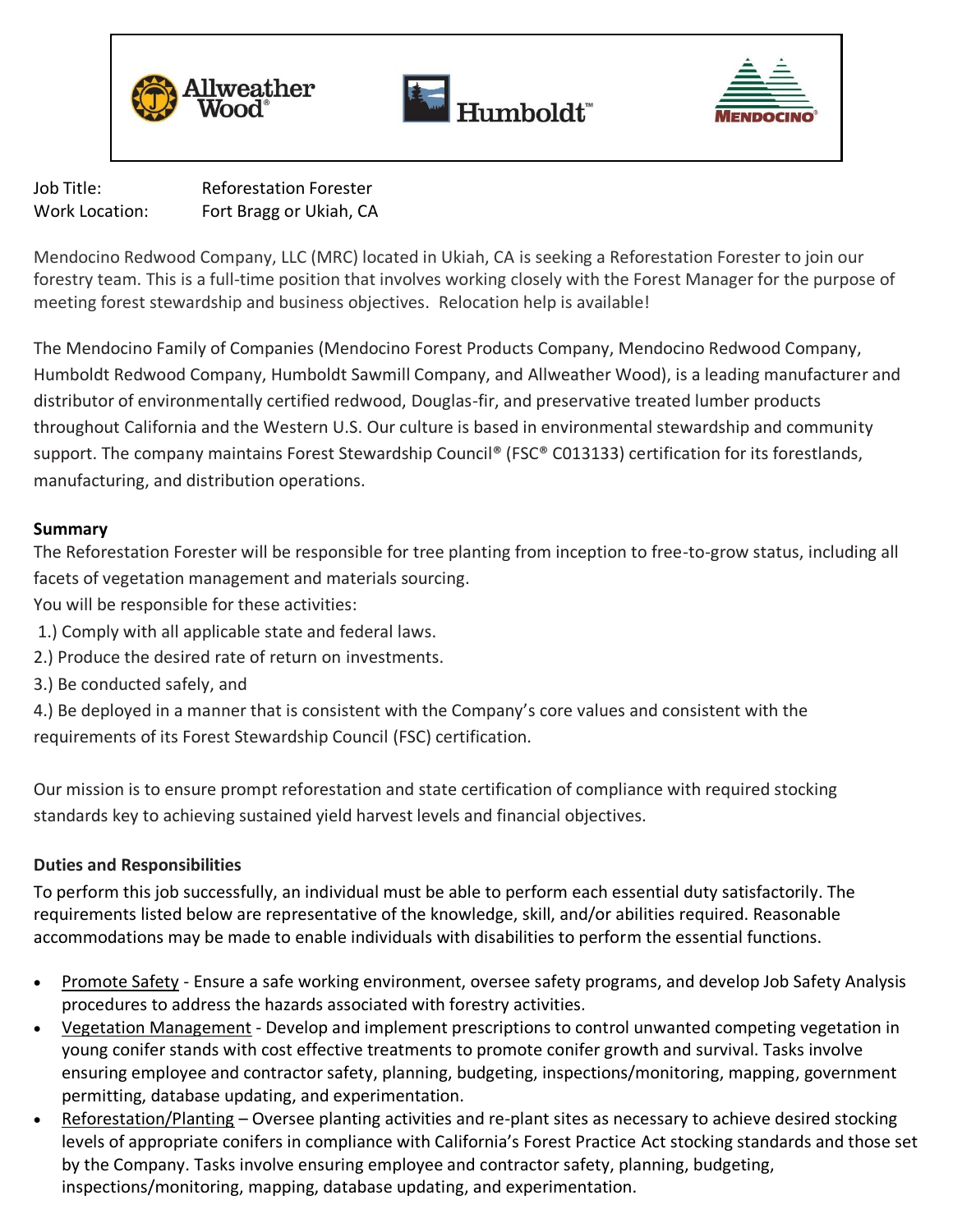





Job Title: Reforestation Forester Work Location: Fort Bragg or Ukiah, CA

Mendocino Redwood Company, LLC (MRC) located in Ukiah, CA is seeking a Reforestation Forester to join our forestry team. This is a full-time position that involves working closely with the Forest Manager for the purpose of meeting forest stewardship and business objectives. Relocation help is available!

The Mendocino Family of Companies (Mendocino Forest Products Company, Mendocino Redwood Company, Humboldt Redwood Company, Humboldt Sawmill Company, and Allweather Wood), is a leading manufacturer and distributor of environmentally certified redwood, Douglas-fir, and preservative treated lumber products throughout California and the Western U.S. Our culture is based in environmental stewardship and community support. The company maintains Forest Stewardship Council® (FSC® C013133) certification for its forestlands, manufacturing, and distribution operations.

# **Summary**

The Reforestation Forester will be responsible for tree planting from inception to free-to-grow status, including all facets of vegetation management and materials sourcing.

You will be responsible for these activities:

- 1.) Comply with all applicable state and federal laws.
- 2.) Produce the desired rate of return on investments.
- 3.) Be conducted safely, and

4.) Be deployed in a manner that is consistent with the Company's core values and consistent with the requirements of its Forest Stewardship Council (FSC) certification.

Our mission is to ensure prompt reforestation and state certification of compliance with required stocking standards key to achieving sustained yield harvest levels and financial objectives.

# **Duties and Responsibilities**

To perform this job successfully, an individual must be able to perform each essential duty satisfactorily. The requirements listed below are representative of the knowledge, skill, and/or abilities required. Reasonable accommodations may be made to enable individuals with disabilities to perform the essential functions.

- Promote Safety Ensure a safe working environment, oversee safety programs, and develop Job Safety Analysis procedures to address the hazards associated with forestry activities.
- Vegetation Management *-* Develop and implement prescriptions to control unwanted competing vegetation in young conifer stands with cost effective treatments to promote conifer growth and survival. Tasks involve ensuring employee and contractor safety, planning, budgeting, inspections/monitoring, mapping, government permitting, database updating, and experimentation.
- Reforestation/Planting Oversee planting activities and re-plant sites as necessary to achieve desired stocking levels of appropriate conifers in compliance with California's Forest Practice Act stocking standards and those set by the Company. Tasks involve ensuring employee and contractor safety, planning, budgeting, inspections/monitoring, mapping, database updating, and experimentation.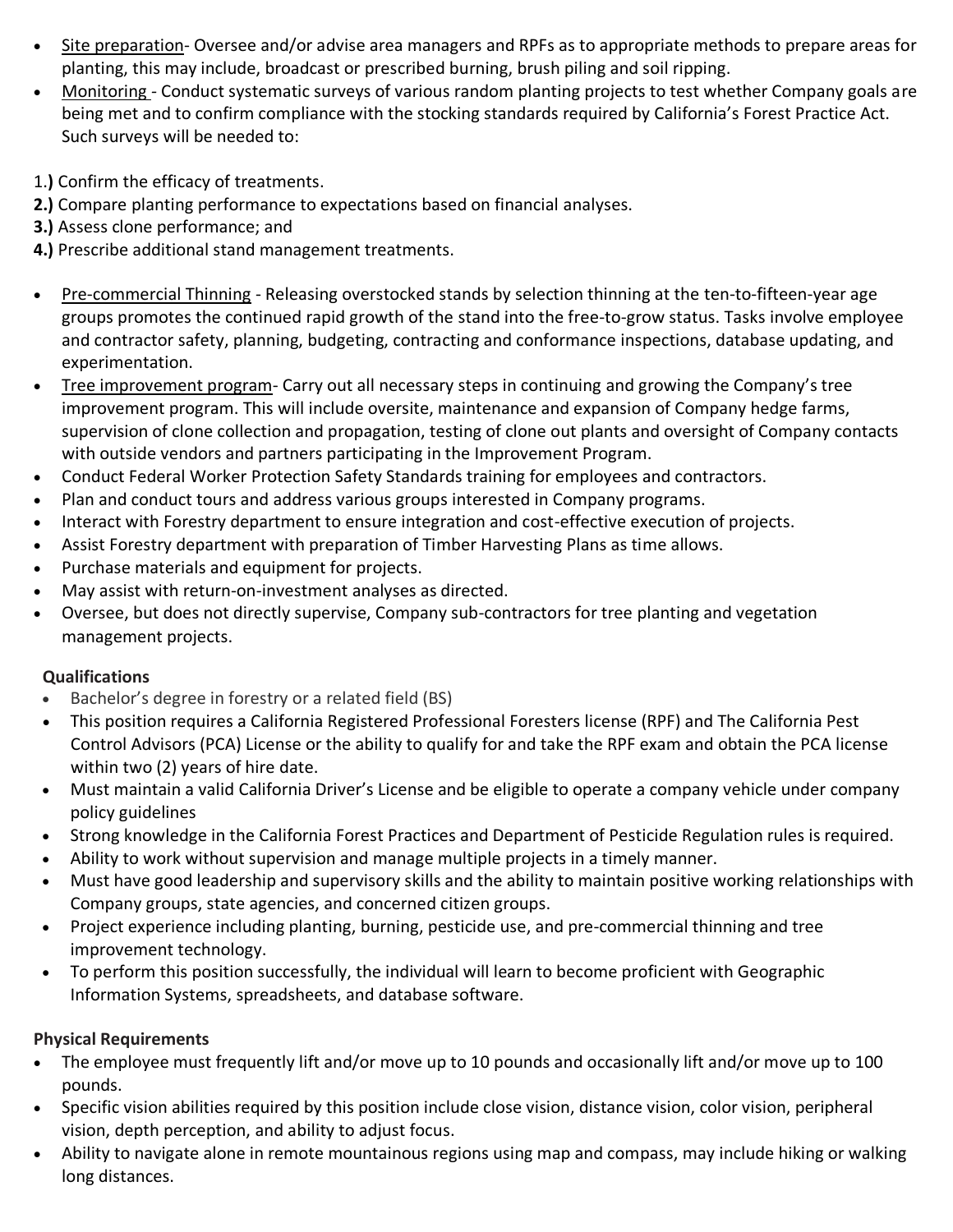- Site preparation- Oversee and/or advise area managers and RPFs as to appropriate methods to prepare areas for planting, this may include, broadcast or prescribed burning, brush piling and soil ripping.
- Monitoring *-* Conduct systematic surveys of various random planting projects to test whether Company goals are being met and to confirm compliance with the stocking standards required by California's Forest Practice Act. Such surveys will be needed to:
- 1.**)** Confirm the efficacy of treatments.
- **2.)** Compare planting performance to expectations based on financial analyses.
- **3.)** Assess clone performance; and
- **4.)** Prescribe additional stand management treatments.
- Pre-commercial Thinning Releasing overstocked stands by selection thinning at the ten-to-fifteen-year age groups promotes the continued rapid growth of the stand into the free-to-grow status. Tasks involve employee and contractor safety, planning, budgeting, contracting and conformance inspections, database updating, and experimentation.
- Tree improvement program- Carry out all necessary steps in continuing and growing the Company's tree improvement program. This will include oversite, maintenance and expansion of Company hedge farms, supervision of clone collection and propagation, testing of clone out plants and oversight of Company contacts with outside vendors and partners participating in the Improvement Program.
- Conduct Federal Worker Protection Safety Standards training for employees and contractors.
- Plan and conduct tours and address various groups interested in Company programs.
- Interact with Forestry department to ensure integration and cost-effective execution of projects.
- Assist Forestry department with preparation of Timber Harvesting Plans as time allows.
- Purchase materials and equipment for projects.
- May assist with return-on-investment analyses as directed.
- Oversee, but does not directly supervise, Company sub-contractors for tree planting and vegetation management projects.

# **Qualifications**

- Bachelor's degree in forestry or a related field (BS)
- This position requires a California Registered Professional Foresters license (RPF) and The California Pest Control Advisors (PCA) License or the ability to qualify for and take the RPF exam and obtain the PCA license within two (2) years of hire date.
- Must maintain a valid California Driver's License and be eligible to operate a company vehicle under company policy guidelines
- Strong knowledge in the California Forest Practices and Department of Pesticide Regulation rules is required.
- Ability to work without supervision and manage multiple projects in a timely manner.
- Must have good leadership and supervisory skills and the ability to maintain positive working relationships with Company groups, state agencies, and concerned citizen groups.
- Project experience including planting, burning, pesticide use, and pre-commercial thinning and tree improvement technology.
- To perform this position successfully, the individual will learn to become proficient with Geographic Information Systems, spreadsheets, and database software.

# **Physical Requirements**

- The employee must frequently lift and/or move up to 10 pounds and occasionally lift and/or move up to 100 pounds.
- Specific vision abilities required by this position include close vision, distance vision, color vision, peripheral vision, depth perception, and ability to adjust focus.
- Ability to navigate alone in remote mountainous regions using map and compass, may include hiking or walking long distances.